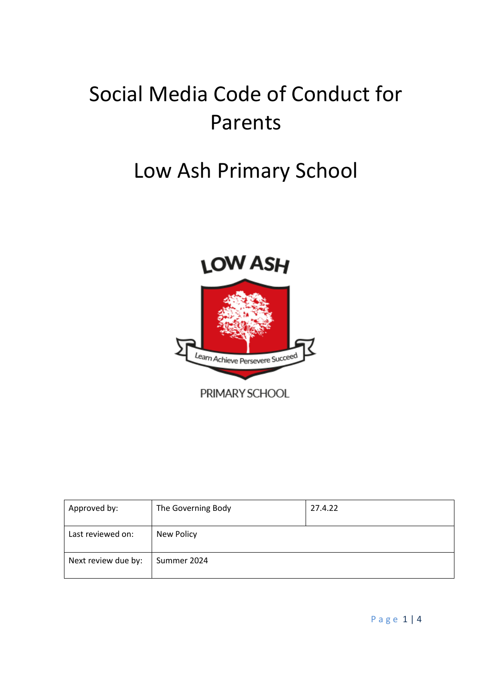# Social Media Code of Conduct for Parents

# Low Ash Primary School



| Approved by:        | The Governing Body | 27.4.22 |
|---------------------|--------------------|---------|
|                     |                    |         |
| Last reviewed on:   | New Policy         |         |
| Next review due by: | Summer 2024        |         |

P a g e 1 | 4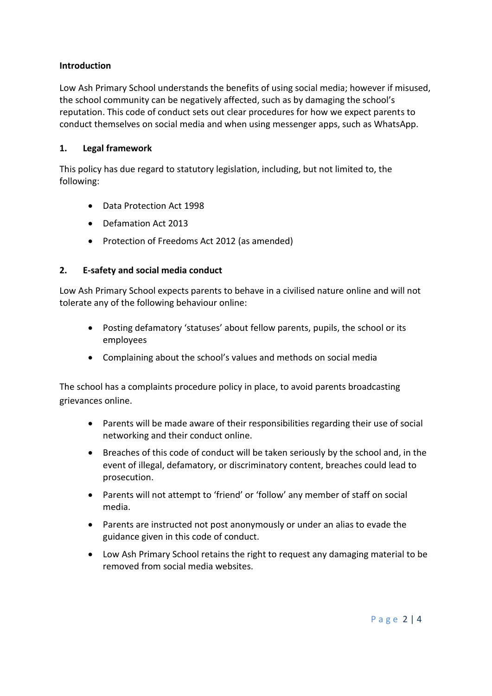#### **Introduction**

Low Ash Primary School understands the benefits of using social media; however if misused, the school community can be negatively affected, such as by damaging the school's reputation. This code of conduct sets out clear procedures for how we expect parents to conduct themselves on social media and when using messenger apps, such as WhatsApp.

#### **1. Legal framework**

This policy has due regard to statutory legislation, including, but not limited to, the following:

- Data Protection Act 1998
- Defamation Act 2013
- Protection of Freedoms Act 2012 (as amended)

## **2. E-safety and social media conduct**

Low Ash Primary School expects parents to behave in a civilised nature online and will not tolerate any of the following behaviour online:

- Posting defamatory 'statuses' about fellow parents, pupils, the school or its employees
- Complaining about the school's values and methods on social media

The school has a complaints procedure policy in place, to avoid parents broadcasting grievances online.

- Parents will be made aware of their responsibilities regarding their use of social networking and their conduct online.
- Breaches of this code of conduct will be taken seriously by the school and, in the event of illegal, defamatory, or discriminatory content, breaches could lead to prosecution.
- Parents will not attempt to 'friend' or 'follow' any member of staff on social media.
- Parents are instructed not post anonymously or under an alias to evade the guidance given in this code of conduct.
- Low Ash Primary School retains the right to request any damaging material to be removed from social media websites.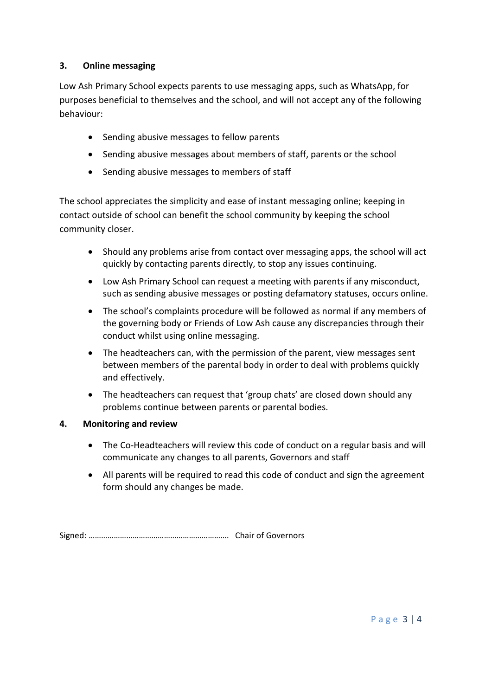## **3. Online messaging**

Low Ash Primary School expects parents to use messaging apps, such as WhatsApp, for purposes beneficial to themselves and the school, and will not accept any of the following behaviour:

- Sending abusive messages to fellow parents
- Sending abusive messages about members of staff, parents or the school
- Sending abusive messages to members of staff

The school appreciates the simplicity and ease of instant messaging online; keeping in contact outside of school can benefit the school community by keeping the school community closer.

- Should any problems arise from contact over messaging apps, the school will act quickly by contacting parents directly, to stop any issues continuing.
- Low Ash Primary School can request a meeting with parents if any misconduct, such as sending abusive messages or posting defamatory statuses, occurs online.
- The school's complaints procedure will be followed as normal if any members of the governing body or Friends of Low Ash cause any discrepancies through their conduct whilst using online messaging.
- The headteachers can, with the permission of the parent, view messages sent between members of the parental body in order to deal with problems quickly and effectively.
- The headteachers can request that 'group chats' are closed down should any problems continue between parents or parental bodies.

#### **4. Monitoring and review**

- The Co-Headteachers will review this code of conduct on a regular basis and will communicate any changes to all parents, Governors and staff
- All parents will be required to read this code of conduct and sign the agreement form should any changes be made.

Signed: …………………………………………………………. Chair of Governors